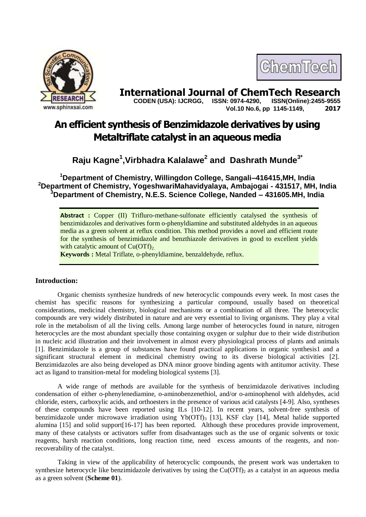

# **International Journal of ChemTech Research Copen (USA): IJCRGG. ISSN: 0974-4290. ISSN(Online):2455-9555**

 **CODEN (USA): IJCRGG, ISSN: 0974-4290, Vol.10 No.6, pp 1145-1149, 2017**

ChemTech

# **An efficient synthesis of Benzimidazole derivatives by using Metaltriflate catalyst in an aqueous media**

## **Raju Kagne<sup>1</sup> ,Virbhadra Kalalawe<sup>2</sup> and Dashrath Munde3\***

**<sup>1</sup>Department of Chemistry, Willingdon College, Sangali–416415,MH, India <sup>2</sup>Department of Chemistry, YogeshwariMahavidyalaya, Ambajogai - 431517, MH, India <sup>3</sup>Department of Chemistry, N.E.S. Science College, Nanded – 431605.MH, India**

**Abstract :** Copper (II) Trifluro-methane-sulfonate efficiently catalysed the synthesis of benzimidazoles and derivatives form o-phenyldiamine and substituted aldehydes in an aqueous media as a green solvent at reflux condition. This method provides a novel and efficient route for the synthesis of benzimidazole and benzthiazole derivatives in good to excellent yields with catalytic amount of  $Cu(OTf)_{2}$ .

**Keywords :** Metal Triflate, o-phenyldiamine, benzaldehyde, reflux.

#### **Introduction:**

Organic chemists synthesize hundreds of new heterocyclic compounds every week. In most cases the chemist has specific reasons for synthesizing a particular compound, usually based on theoretical considerations, medicinal chemistry, biological mechanisms or a combination of all three. The heterocyclic compounds are very widely distributed in nature and are very essential to living organisms. They play a vital role in the metabolism of all the living cells. Among large number of heterocycles found in nature, nitrogen heterocycles are the most abundant specially those containing oxygen or sulphur due to their wide distribution in nucleic acid illustration and their involvement in almost every physiological process of plants and animals [1]. Benzimidazole is a group of substances have found practical applications in organic synthesis1 and a significant structural element in medicinal chemistry owing to its diverse biological activities [2]. Benzimidazoles are also being developed as DNA minor groove binding agents with antitumor activity. These act as ligand to transition-metal for modeling biological systems [3].

A wide range of methods are available for the synthesis of benzimidazole derivatives including condensation of either o-phenylenediamine, o-aminobenzenethiol, and/or o-aminophenol with aldehydes, acid chloride, esters, carboxylic acids, and orthoesters in the presence of various acid catalysts [4-9]. Also, syntheses of these compounds have been reported using ILs [10-12]. In recent years, solvent-free synthesis of benzimidazole under microwave irradiation using  $Yb(OTf)$ <sub>3</sub> [13], KSF clay [14], Metal halide supported alumina [15] and solid support[16-17] has been reported. Although these procedures provide improvement, many of these catalysts or activators suffer from disadvantages such as the use of organic solvents or toxic reagents, harsh reaction conditions, long reaction time, need excess amounts of the reagents, and nonrecoverability of the catalyst.

Taking in view of the applicability of heterocyclic compounds, the present work was undertaken to synthesize heterocycle like benzimidazole derivatives by using the  $Cu(OTf)$ <sub>2</sub> as a catalyst in an aqueous media as a green solvent (**Scheme 01**).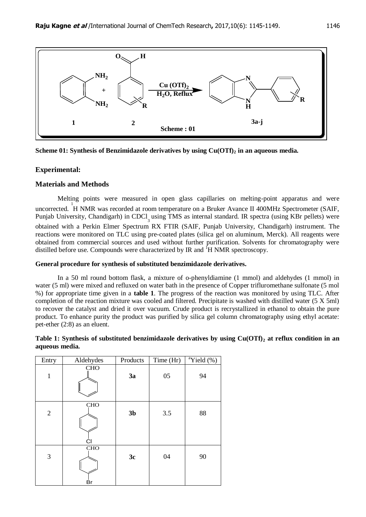

**Scheme 01: Synthesis of Benzimidazole derivatives by using Cu(OTf)<sup>2</sup> in an aqueous media.**

## **Experimental:**

### **Materials and Methods**

Melting points were measured in open glass capillaries on melting-point apparatus and were uncorrected. <sup>1</sup>H NMR was recorded at room temperature on a Bruker Avance II 400MHz Spectrometer (SAIF, Punjab University, Chandigarh) in CDCl<sub>3</sub> using TMS as internal standard. IR spectra (using KBr pellets) were obtained with a Perkin Elmer Spectrum RX FTIR (SAIF, Punjab University, Chandigarh) instrument. The reactions were monitored on TLC using pre-coated plates (silica gel on aluminum, Merck). All reagents were obtained from commercial sources and used without further purification. Solvents for chromatography were distilled before use. Compounds were characterized by IR and <sup>1</sup>H NMR spectroscopy.

### **General procedure for synthesis of substituted benzimidazole derivatives.**

In a 50 ml round bottom flask, a mixture of o-phenyldiamine (1 mmol) and aldehydes (1 mmol) in water (5 ml) were mixed and refluxed on water bath in the presence of Copper trifluromethane sulfonate (5 mol %) for appropriate time given in a **table 1**. The progress of the reaction was monitored by using TLC. After completion of the reaction mixture was cooled and filtered. Precipitate is washed with distilled water (5 X 5ml) to recover the catalyst and dried it over vacuum. Crude product is recrystallized in ethanol to obtain the pure product. To enhance purity the product was purified by silica gel column chromatography using ethyl acetate: pet-ether (2:8) as an eluent.

#### **Table 1: Synthesis of substituted benzimidazole derivatives by using Cu(OTf)<sup>2</sup> at reflux condition in an aqueous media.**

| Entry          | Aldehydes        | Products       | Time (Hr) | $\sqrt[a]{i}$ Yield (%) |
|----------------|------------------|----------------|-----------|-------------------------|
| $\mathbf{1}$   | <b>CHO</b>       | 3a             | 05        | 94                      |
| $\overline{2}$ | <b>CHO</b><br>СI | 3 <sub>b</sub> | 3.5       | 88                      |
| $\mathfrak{Z}$ | <b>CHO</b><br>Βr | 3c             | 04        | 90                      |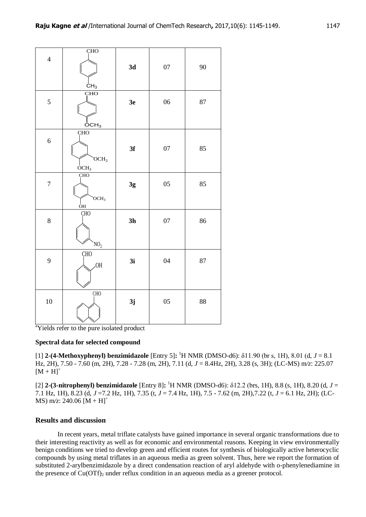| $\overline{4}$                                                                                                                                                                                                                                               | <b>CHO</b>                                                               | 3d             | 07 | 90 |                                                                                                                                                                                                                                                                                                                                                                                                                                                                                                                                                                                     |  |  |
|--------------------------------------------------------------------------------------------------------------------------------------------------------------------------------------------------------------------------------------------------------------|--------------------------------------------------------------------------|----------------|----|----|-------------------------------------------------------------------------------------------------------------------------------------------------------------------------------------------------------------------------------------------------------------------------------------------------------------------------------------------------------------------------------------------------------------------------------------------------------------------------------------------------------------------------------------------------------------------------------------|--|--|
|                                                                                                                                                                                                                                                              | CH <sub>3</sub>                                                          |                |    |    |                                                                                                                                                                                                                                                                                                                                                                                                                                                                                                                                                                                     |  |  |
| 5                                                                                                                                                                                                                                                            | <b>CHO</b>                                                               | 3e             | 06 | 87 |                                                                                                                                                                                                                                                                                                                                                                                                                                                                                                                                                                                     |  |  |
| 6                                                                                                                                                                                                                                                            | $\mathsf{OCH}_3$<br><b>CHO</b><br>OCH <sub>3</sub><br>$\overline{OCH}_3$ | 3f             | 07 | 85 |                                                                                                                                                                                                                                                                                                                                                                                                                                                                                                                                                                                     |  |  |
| $\boldsymbol{7}$                                                                                                                                                                                                                                             | <b>CHO</b><br>OCH <sub>3</sub><br>OН                                     | 3g             | 05 | 85 |                                                                                                                                                                                                                                                                                                                                                                                                                                                                                                                                                                                     |  |  |
| 8                                                                                                                                                                                                                                                            | <b>CHO</b><br>NO <sub>2</sub>                                            | 3 <sub>h</sub> | 07 | 86 |                                                                                                                                                                                                                                                                                                                                                                                                                                                                                                                                                                                     |  |  |
| 9                                                                                                                                                                                                                                                            | CH <sub>O</sub><br>.OH                                                   | 3i             | 04 | 87 |                                                                                                                                                                                                                                                                                                                                                                                                                                                                                                                                                                                     |  |  |
| 10                                                                                                                                                                                                                                                           | CH <sub>O</sub>                                                          | 3j             | 05 | 88 |                                                                                                                                                                                                                                                                                                                                                                                                                                                                                                                                                                                     |  |  |
|                                                                                                                                                                                                                                                              | <sup>a</sup> Yields refer to the pure isolated product                   |                |    |    |                                                                                                                                                                                                                                                                                                                                                                                                                                                                                                                                                                                     |  |  |
|                                                                                                                                                                                                                                                              |                                                                          |                |    |    |                                                                                                                                                                                                                                                                                                                                                                                                                                                                                                                                                                                     |  |  |
| Spectral data for selected compound<br>[1] 2-(4-Methoxyphenyl) benzimidazole [Entry 5]: $^1$ H NMR (DMSO-d6): $\delta$ 11.90 (br s, 11)<br>Hz, 2H), 7.50 - 7.60 (m, 2H), 7.28 - 7.28 (m, 2H), 7.11 (d, $J = 8.4$ Hz, 2H), 3.28 (s, 3H); (LO<br>$[M + H]^{+}$ |                                                                          |                |    |    |                                                                                                                                                                                                                                                                                                                                                                                                                                                                                                                                                                                     |  |  |
|                                                                                                                                                                                                                                                              | MS) m/z: 240.06 $[M + H]$ <sup>+</sup>                                   |                |    |    | [2] 2-(3-nitrophenyl) benzimidazole [Entry 8]: ${}^{1}H NMR$ (DMSO-d6): $\delta$ 12.2 (brs, 1H), 8.8<br>7.1 Hz, 1H), 8.23 (d, $J = 7.2$ Hz, 1H), 7.35 (t, $J = 7.4$ Hz, 1H), 7.5 - 7.62 (m, 2H), 7.22 (t, $J =$                                                                                                                                                                                                                                                                                                                                                                     |  |  |
|                                                                                                                                                                                                                                                              | <b>Results and discussion</b>                                            |                |    |    |                                                                                                                                                                                                                                                                                                                                                                                                                                                                                                                                                                                     |  |  |
|                                                                                                                                                                                                                                                              |                                                                          |                |    |    | In recent years, metal triflate catalysts have gained importance in several organic tr<br>their interesting reactivity as well as for economic and environmental reasons. Keeping in v<br>benign conditions we tried to develop green and efficient routes for synthesis of biologicall<br>compounds by using metal triflates in an aqueous media as green solvent. Thus, here we re<br>substituted 2-arylbenzimidazole by a direct condensation reaction of aryl aldehyde with o-<br>the presence of $Cu(OTf)_2$ under reflux condition in an aqueous media as a greener protocol. |  |  |

<sup>a</sup>Yields refer to the pure isolated product

#### **Spectral data for selected compound**

[1] **2-(4-Methoxyphenyl) benzimidazole** [Entry 5]**:** <sup>1</sup>H NMR (DMSO-d6): δ11.90 (br s, 1H), 8.01 (d, *J* = 8.1 Hz, 2H), 7.50 - 7.60 (m, 2H), 7.28 - 7.28 (m, 2H), 7.11 (d, *J* = 8.4Hz, 2H), 3.28 (s, 3H); (LC-MS) m*/z*: 225.07  $[M + H]^{+}$ 

[2] **2-(3-nitrophenyl) benzimidazole** [Entry 8]**:** <sup>1</sup>H NMR (DMSO-d6): δ12.2 (brs, 1H), 8.8 (s, 1H), 8.20 (d, *J* = 7.1 Hz, 1H), 8.23 (d, *J* =7.2 Hz, 1H), 7.35 (t, *J* = 7.4 Hz, 1H), 7.5 - 7.62 (m, 2H),7.22 (t, *J* = 6.1 Hz, 2H); (LC-MS)  $m/z$ : 240.06  $[M + H]$ <sup>+</sup>

### **Results and discussion**

In recent years, metal triflate catalysts have gained importance in several organic transformations due to their interesting reactivity as well as for economic and environmental reasons. Keeping in view environmentally benign conditions we tried to develop green and efficient routes for synthesis of biologically active heterocyclic compounds by using metal triflates in an aqueous media as green solvent. Thus, here we report the formation of substituted 2-arylbenzimidazole by a direct condensation reaction of aryl aldehyde with o-phenylenediamine in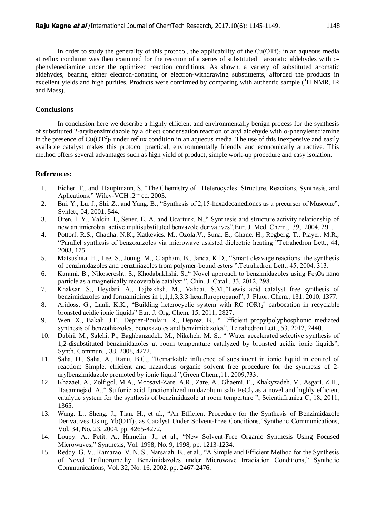In order to study the generality of this protocol, the applicability of the  $Cu(OTf)_{2}$  in an aqueous media at reflux condition was then examined for the reaction of a series of substituted aromatic aldehydes with ophenylenediamine under the optimized reaction conditions. As shown, a variety of substituted aromatic aldehydes, bearing either electron-donating or electron-withdrawing substituents, afforded the products in excellent yields and high purities. Products were confirmed by comparing with authentic sample  $({}^{1}H$  NMR, IR and Mass).

#### **Conclusions**

In conclusion here we describe a highly efficient and environmentally benign process for the synthesis of substituted 2-arylbenzimidazole by a direct condensation reaction of aryl aldehyde with o-phenylenediamine in the presence of  $Cu(OTf)$ , under reflux condition in an aqueous media. The use of this inexpensive and easily available catalyst makes this protocol practical, environmentally friendly and economically attractive. This method offers several advantages such as high yield of product, simple work-up procedure and easy isolation.

#### **References:**

- 1. Eicher. T., and Hauptmann, S. "The Chemistry of Heterocycles: Structure, Reactions, Synthesis, and Aplications." Wiley-VCH,  $2<sup>nd</sup>$  ed. 2003.
- 2. Bai. Y., Lu. J., Shi. Z., and Yang. B., "Synthesis of 2,15-hexadecanediones as a precursor of Muscone", Synlett, 04, 2001, 544.
- 3. Oren. I. Y., Yalcin. I., Sener. E. A. and Ucarturk. N.," Synthesis and structure activity relationship of new antimicrobial active multisubstituted benzazole derivatives",Eur. J. Med. Chem., 39, 2004, 291.
- 4. Pottorf. R.S., Chadha. N.K., Katkevics. M., Ozola.V., Suna. E., Ghane. H., Regberg. T., Player. M.R., "Parallel synthesis of benzoxazoles via microwave assisted dielectric heating "Tetrahedron Lett., 44, 2003, 175.
- 5. Matsushita. H., Lee. S., Joung. M., Clapham. B., Janda. K.D., "Smart cleavage reactions: the synthesis of benzimidazoles and benzthiazoles from polymer-bound esters ",Tetrahedron Lett., 45, 2004, 313.
- 6. Karami. B., Nikoseresht. S., Khodabakhshi. S., "Novel approach to benzimidazoles using  $Fe<sub>3</sub>O<sub>4</sub>$  nano particle as a magnetically recoverable catalyst ", Chin. J. Catal., 33, 2012, 298.
- 7. Khaksar. S., Heydari. A., Tajbakhsh. M., Vahdat. S.M.,"Lewis acid catalyst free synthesis of benzimidazoles and formamidines in 1,1,1,3,3,3-hexafluropropanol", J. Fluor. Chem., 131, 2010, 1377.
- 8. Aridoss. G., Laali. K.K., "Building heterocyclic system with RC (OR)<sub>2</sub><sup>+</sup> carbocation in recyclable bronsted acidic ionic liquids" Eur. J. Org. Chem. 15, 2011, 2827.
- 9. Wen. X., Bakali. J.E., Deprez-Poulain. R., Deprez. B., " Efficient propylpolyphosphonic mediated synthesis of benzothiazoles, benoxazoles and benzimidazoles", Tetrahedron Lett., 53, 2012, 2440.
- 10. Dabiri. M., Salehi. P., Baghbanzadeh. M., Nikcheh. M. S., " Water accelerated selective synthesis of 1,2-disubstituted benzimidazoles at room temperature catalyzed by bronsted acidic ionic liquids", Synth. Commun. , 38, 2008, 4272.
- 11. Saha. D., Saha. A., Ranu. B.C., "Remarkable influence of substituent in ionic liquid in control of reaction: Simple, efficient and hazardous organic solvent free procedure for the synthesis of 2 arylbenzimidazole promoted by ionic liquid ",Green Chem.,11, 2009,733.
- 12. Khazaei. A., Zolfigol. M.A., Moosavi-Zare. A.R., Zare. A., Ghaemi. E., Khakyzadeh. V., Asgari. Z.H., Hasaninejad. A.," Sulfonic acid functionalized imidazolium salt/  $FeCl<sub>3</sub>$  as a novel and highly efficient catalytic system for the synthesis of benzimidazole at room temperture ", ScientiaIranica C, 18, 2011, 1365.
- 13. Wang. L., Sheng. J., Tian. H., et al., "An Efficient Procedure for the Synthesis of Benzimidazole Derivatives Using Yb(OTf)<sub>3</sub> as Catalyst Under Solvent-Free Conditions,"Synthetic Communications, Vol. 34, No. 23, 2004, pp. 4265-4272.
- 14. Loupy. A., Petit. A., Hamelin. J., et al., "New Solvent-Free Organic Synthesis Using Focused Microwaves," Synthesis, Vol. 1998, No. 9, 1998, pp. 1213-1234.
- 15. Reddy. G. V., Ramarao. V. N. S., Narsaiah. B., et al., "A Simple and Efficient Method for the Synthesis of Novel Trifluoromethyl Benzimidazoles under Microwave Irradiation Conditions," Synthetic Communications, Vol. 32, No. 16, 2002, pp. 2467-2476.